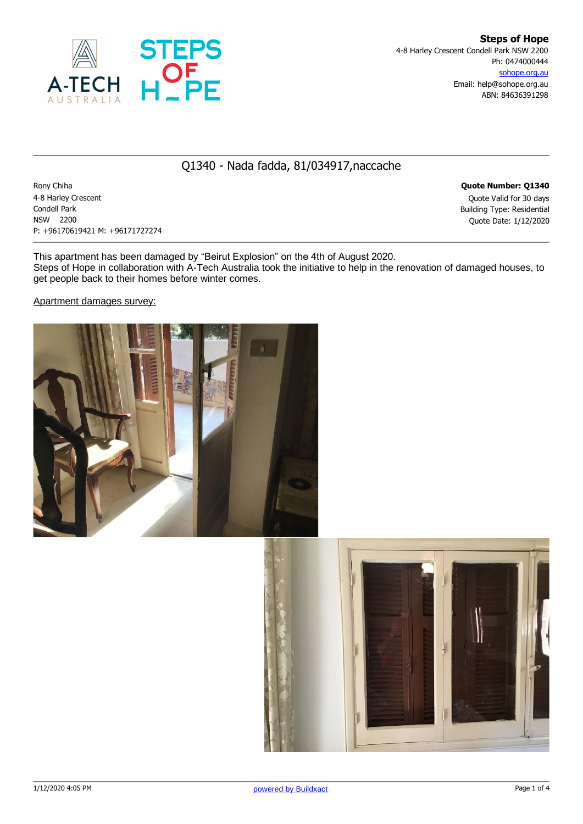

## Q1340 - Nada fadda, 81/034917,naccache

Rony Chiha **Quote Number: Q1340** 4-8 Harley Crescent Quote Valid for 30 days Condell Park Building Type: Residential NSW 2200 Quote Date: 1/12/2020 P: +96170619421 M: +96171727274

This apartment has been damaged by "Beirut Explosion" on the 4th of August 2020. Steps of Hope in collaboration with A-Tech Australia took the initiative to help in the renovation of damaged houses, to get people back to their homes before winter comes.

Apartment damages survey:



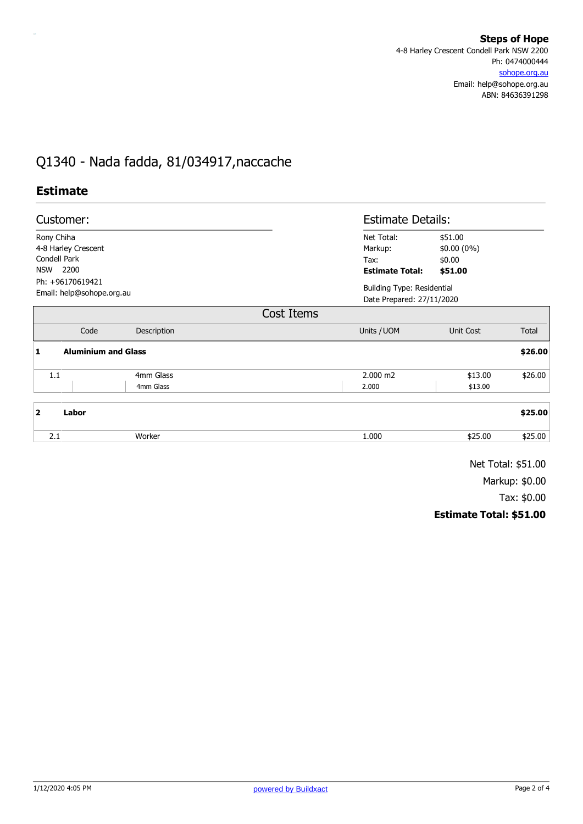## Q1340 - Nada fadda, 81/034917,naccache

## **Estimate**

| Customer:                                     |             |                        | <b>Estimate Details:</b>                                       |         |  |
|-----------------------------------------------|-------------|------------------------|----------------------------------------------------------------|---------|--|
| Rony Chiha                                    |             | Net Total:             | \$51.00<br>\$0.00 (0%)<br>\$0.00                               |         |  |
| 4-8 Harley Crescent                           |             | Markup:                |                                                                |         |  |
| Condell Park                                  |             | Tax:                   |                                                                |         |  |
| <b>NSW</b><br>2200                            |             | <b>Estimate Total:</b> | \$51.00                                                        |         |  |
| Ph: +96170619421<br>Email: help@sohope.org.au |             |                        | <b>Building Type: Residential</b><br>Date Prepared: 27/11/2020 |         |  |
|                                               |             | Cost Items             |                                                                |         |  |
| Code                                          | Description | Units / UOM            | Unit Cost                                                      | Total   |  |
| <b>Aluminium and Glass</b><br>1               |             |                        |                                                                | \$26.00 |  |
| 1.1                                           | 4mm Glass   | $2.000 \text{ m2}$     | \$13.00                                                        | \$26.00 |  |
|                                               | 4mm Glass   | 2.000                  | \$13.00                                                        |         |  |
| $\overline{2}$<br>Labor                       |             |                        |                                                                | \$25.00 |  |
| 2.1                                           | Worker      | 1.000                  | \$25.00                                                        | \$25.00 |  |
|                                               |             |                        |                                                                |         |  |

Net Total: \$51.00

Markup: \$0.00

Tax: \$0.00

## **Estimate Total: \$51.00**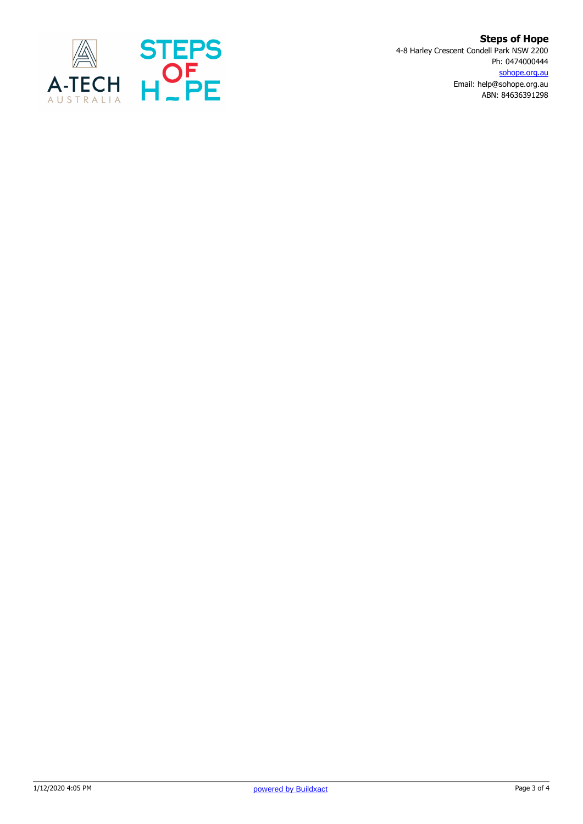

**Steps of Hope** 4-8 Harley Crescent Condell Park NSW 2200 Ph: 0474000444 sohope.org.au Email: help@sohope.org.au ABN: 84636391298